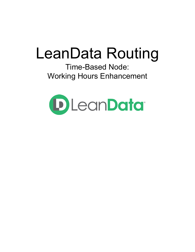# LeanData Routing

Time-Based Node: Working Hours Enhancement

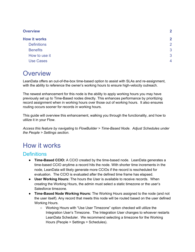| <b>Overview</b>     | $\mathbf{2}$   |
|---------------------|----------------|
| <b>How it works</b> | $\mathbf{2}$   |
| <b>Definitions</b>  | 2              |
| <b>Benefits</b>     | 3              |
| How to use it       | 3              |
| <b>Use Cases</b>    | $\overline{4}$ |

### <span id="page-1-0"></span>**Overview**

LeanData offers an out-of-the-box time-based option to assist with SLAs and re-assignment, with the ability to reference the owner's working hours to ensure high-velocity outreach.

The newest enhancement for this node is the ability to apply working hours you may have previously set up to Time-Based nodes directly. This enhances performance by prioritizing record assignment when in working hours over those out of working hours. It also ensures routing occurs sooner for records in working hours.

This guide will overview this enhancement, walking you through the functionality, and how to utilize it in your Flow.

*Access this feature by navigating to FlowBuilder > Time-Based Node. Adjust Schedules under the People > Settings section.*

## <span id="page-1-1"></span>How it works

#### <span id="page-1-2"></span>**Definitions**

- **● Time-Based CCIO:** A CCIO created by the time-based node. LeanData generates a time-based CCIO anytime a record hits the node. With shorter time increments in the node, LeanData will likely generate more CCIOs if the record is rescheduled for evaluation. The CCIO is evaluated after the defined time frame has elapsed.
- **● User Working Hours:** The hours the User is available to receive records. When creating the Working Hours, the admin must select a static timezone or the user's Salesforce timezone.
- **● Time-Based Node Working Hours:** The Working Hours assigned to the node (and not the user itself). Any record that meets this node will be routed based on the user defined Working Hours.
	- Working Hours with "Use User Timezone" option checked will utilize the Integration User's Timezone. The Integration User changes to whoever restarts LeanData Scheduler. We recommend selecting a timezone for the Working Hours (People > Settings > Schedules).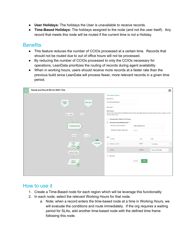- **User Holidays:** The holidays the User is unavailable to receive records.
- **● Time-Based Holidays:** The holidays assigned to the node (and not the user itself). Any record that meets this node will be routed if the current time is not a Holiday.

#### <span id="page-2-0"></span>**Benefits**

- This feature reduces the number of CCIOs processed at a certain time. Records that should not be routed due to out of office hours will not be processed.
- By reducing the number of CCIOs processed to only the CCIOs necessary for operations, LeanData prioritizes the routing of records during agent availability.
- When in working hours, users should receive more records at a faster rate than the previous build since LeanData will process fewer, more relevant records in a given time period.



#### <span id="page-2-1"></span>How to use it

- 1. Create a Time-Based node for each region which will be leverage this functionality
- 2. In each node, select the relevant Working Hours for that node.
	- a. Note: when a record enters the time-based node at a time in Working Hours, we will evaluate the conditions and route immediately. If the org requires a waiting period for SLAs, add another time-based node with the defined time frame following this node.